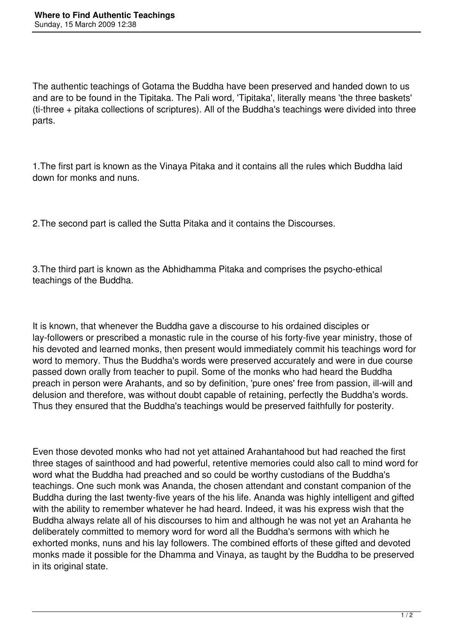The authentic teachings of Gotama the Buddha have been preserved and handed down to us and are to be found in the Tipitaka. The Pali word, 'Tipitaka', literally means 'the three baskets' (ti-three + pitaka collections of scriptures). All of the Buddha's teachings were divided into three parts.

1.The first part is known as the Vinaya Pitaka and it contains all the rules which Buddha laid down for monks and nuns.

2.The second part is called the Sutta Pitaka and it contains the Discourses.

3.The third part is known as the Abhidhamma Pitaka and comprises the psycho-ethical teachings of the Buddha.

It is known, that whenever the Buddha gave a discourse to his ordained disciples or lay-followers or prescribed a monastic rule in the course of his forty-five year ministry, those of his devoted and learned monks, then present would immediately commit his teachings word for word to memory. Thus the Buddha's words were preserved accurately and were in due course passed down orally from teacher to pupil. Some of the monks who had heard the Buddha preach in person were Arahants, and so by definition, 'pure ones' free from passion, ill-will and delusion and therefore, was without doubt capable of retaining, perfectly the Buddha's words. Thus they ensured that the Buddha's teachings would be preserved faithfully for posterity.

Even those devoted monks who had not yet attained Arahantahood but had reached the first three stages of sainthood and had powerful, retentive memories could also call to mind word for word what the Buddha had preached and so could be worthy custodians of the Buddha's teachings. One such monk was Ananda, the chosen attendant and constant companion of the Buddha during the last twenty-five years of the his life. Ananda was highly intelligent and gifted with the ability to remember whatever he had heard. Indeed, it was his express wish that the Buddha always relate all of his discourses to him and although he was not yet an Arahanta he deliberately committed to memory word for word all the Buddha's sermons with which he exhorted monks, nuns and his lay followers. The combined efforts of these gifted and devoted monks made it possible for the Dhamma and Vinaya, as taught by the Buddha to be preserved in its original state.